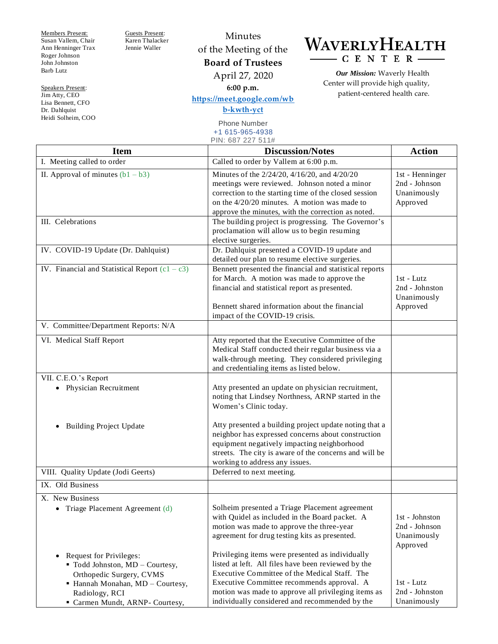Members Present: Susan Vallem, Chair Ann Henninger Trax Roger Johnson John Johnston Barb Lutz

Speakers Present: Jim Atty, CEO Lisa Bennett, CFO Dr. Dahlquist Heidi Solheim, COO Guests Present: Karen Thalacker Jennie Waller

Minutes of the Meeting of the **Board of Trustees** April 27, 2020 **6:00 p.m.**

**[https://meet.google.com/wb](https://meet.google.com/wbb-kwth-yct) [b-kwth-yct](https://meet.google.com/wbb-kwth-yct)** Phone Number +1 615-965-4938

WAVERLYHEALTH - CENTER

> *Our Mission:* Waverly Health Center will provide high quality, patient-centered health care.

| <b>Item</b>                                                                                                                                                                                | <b>Discussion/Notes</b>                                                                                                                                                                                                                                                                                               | <b>Action</b>                                               |
|--------------------------------------------------------------------------------------------------------------------------------------------------------------------------------------------|-----------------------------------------------------------------------------------------------------------------------------------------------------------------------------------------------------------------------------------------------------------------------------------------------------------------------|-------------------------------------------------------------|
| I. Meeting called to order                                                                                                                                                                 | Called to order by Vallem at 6:00 p.m.                                                                                                                                                                                                                                                                                |                                                             |
| II. Approval of minutes $(b1 - b3)$<br>III. Celebrations                                                                                                                                   | Minutes of the 2/24/20, 4/16/20, and 4/20/20<br>meetings were reviewed. Johnson noted a minor<br>correction to the starting time of the closed session<br>on the $4/20/20$ minutes. A motion was made to<br>approve the minutes, with the correction as noted.<br>The building project is progressing. The Governor's | 1st - Henninger<br>2nd - Johnson<br>Unanimously<br>Approved |
| IV. COVID-19 Update (Dr. Dahlquist)                                                                                                                                                        | proclamation will allow us to begin resuming<br>elective surgeries.<br>Dr. Dahlquist presented a COVID-19 update and                                                                                                                                                                                                  |                                                             |
|                                                                                                                                                                                            | detailed our plan to resume elective surgeries.                                                                                                                                                                                                                                                                       |                                                             |
| IV. Financial and Statistical Report $(c1 - c3)$                                                                                                                                           | Bennett presented the financial and statistical reports<br>for March. A motion was made to approve the<br>financial and statistical report as presented.<br>Bennett shared information about the financial<br>impact of the COVID-19 crisis.                                                                          | $1st$ - Lutz<br>2nd - Johnston<br>Unanimously<br>Approved   |
| V. Committee/Department Reports: N/A                                                                                                                                                       |                                                                                                                                                                                                                                                                                                                       |                                                             |
| VI. Medical Staff Report                                                                                                                                                                   | Atty reported that the Executive Committee of the<br>Medical Staff conducted their regular business via a<br>walk-through meeting. They considered privileging<br>and credentialing items as listed below.                                                                                                            |                                                             |
| VII. C.E.O.'s Report<br>• Physician Recruitment                                                                                                                                            | Atty presented an update on physician recruitment,<br>noting that Lindsey Northness, ARNP started in the<br>Women's Clinic today.                                                                                                                                                                                     |                                                             |
| <b>Building Project Update</b>                                                                                                                                                             | Atty presented a building project update noting that a<br>neighbor has expressed concerns about construction<br>equipment negatively impacting neighborhood<br>streets. The city is aware of the concerns and will be<br>working to address any issues.                                                               |                                                             |
| VIII. Quality Update (Jodi Geerts)                                                                                                                                                         | Deferred to next meeting.                                                                                                                                                                                                                                                                                             |                                                             |
| IX. Old Business                                                                                                                                                                           |                                                                                                                                                                                                                                                                                                                       |                                                             |
| X. New Business<br>Triage Placement Agreement (d)<br>$\bullet$                                                                                                                             | Solheim presented a Triage Placement agreement<br>with Quidel as included in the Board packet. A<br>motion was made to approve the three-year<br>agreement for drug testing kits as presented.                                                                                                                        | 1st - Johnston<br>2nd - Johnson<br>Unanimously<br>Approved  |
| Request for Privileges:<br>$\bullet$<br>" Todd Johnston, MD - Courtesy,<br>Orthopedic Surgery, CVMS<br>• Hannah Monahan, MD - Courtesy,<br>Radiology, RCI<br>Carmen Mundt, ARNP- Courtesy, | Privileging items were presented as individually<br>listed at left. All files have been reviewed by the<br>Executive Committee of the Medical Staff. The<br>Executive Committee recommends approval. A<br>motion was made to approve all privileging items as<br>individually considered and recommended by the       | $1st$ - Lutz<br>2nd - Johnston<br>Unanimously               |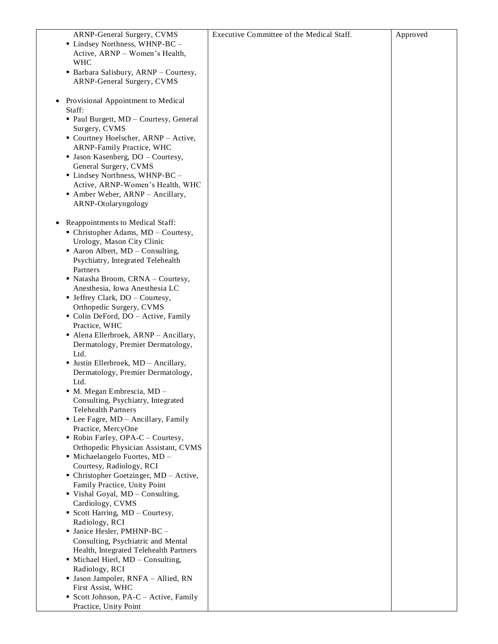| ARNP-General Surgery, CVMS<br>• Lindsey Northness, WHNP-BC -<br>Active, ARNP - Women's Health,<br><b>WHC</b> | Executive Committee of the Medical Staff. | Approved |
|--------------------------------------------------------------------------------------------------------------|-------------------------------------------|----------|
| • Barbara Salisbury, ARNP - Courtesy,<br>ARNP-General Surgery, CVMS                                          |                                           |          |
| Provisional Appointment to Medical<br>Staff:                                                                 |                                           |          |
| • Paul Burgett, MD - Courtesy, General<br>Surgery, CVMS                                                      |                                           |          |
| • Courtney Hoelscher, ARNP - Active,<br>ARNP-Family Practice, WHC                                            |                                           |          |
| • Jason Kasenberg, DO - Courtesy,<br>General Surgery, CVMS                                                   |                                           |          |
| • Lindsey Northness, WHNP-BC -                                                                               |                                           |          |
| Active, ARNP-Women's Health, WHC<br>• Amber Weber, ARNP - Ancillary,                                         |                                           |          |
| ARNP-Otolaryngology                                                                                          |                                           |          |
| Reappointments to Medical Staff:<br>$\bullet$                                                                |                                           |          |
| $\blacksquare$ Christopher Adams, MD – Courtesy,                                                             |                                           |          |
| Urology, Mason City Clinic<br>$\blacksquare$ Aaron Albert, MD – Consulting,                                  |                                           |          |
| Psychiatry, Integrated Telehealth<br>Partners                                                                |                                           |          |
| • Natasha Broom, CRNA - Courtesy,                                                                            |                                           |          |
| Anesthesia, Iowa Anesthesia LC<br>• Jeffrey Clark, DO - Courtesy,                                            |                                           |          |
| Orthopedic Surgery, CVMS                                                                                     |                                           |          |
| Colin DeFord, DO - Active, Family<br>Practice, WHC                                                           |                                           |          |
| • Alena Ellerbroek, ARNP - Ancillary,                                                                        |                                           |          |
| Dermatology, Premier Dermatology,                                                                            |                                           |          |
| Ltd.<br><b>Justin Ellerbroek, MD - Ancillary,</b>                                                            |                                           |          |
| Dermatology, Premier Dermatology,                                                                            |                                           |          |
| Ltd.<br>M. Megan Embrescia, MD -                                                                             |                                           |          |
| Consulting, Psychiatry, Integrated                                                                           |                                           |          |
| <b>Telehealth Partners</b><br>• Lee Fagre, MD - Ancillary, Family                                            |                                           |          |
| Practice, MercyOne                                                                                           |                                           |          |
| $\blacksquare$ Robin Farley, OPA-C – Courtesy,<br>Orthopedic Physician Assistant, CVMS                       |                                           |          |
| $\blacksquare$ Michaelangelo Fuortes, MD -                                                                   |                                           |          |
| Courtesy, Radiology, RCI<br>• Christopher Goetzinger, $MD - Active$ ,                                        |                                           |          |
| Family Practice, Unity Point                                                                                 |                                           |          |
| Vishal Goyal, MD - Consulting,<br>Cardiology, CVMS                                                           |                                           |          |
| • Scott Harring, MD - Courtesy,                                                                              |                                           |          |
| Radiology, RCI                                                                                               |                                           |          |
| · Janice Hesler, PMHNP-BC -<br>Consulting, Psychiatric and Mental                                            |                                           |          |
| Health, Integrated Telehealth Partners                                                                       |                                           |          |
| • Michael Hierl, MD - Consulting,<br>Radiology, RCI                                                          |                                           |          |
| · Jason Jampoler, RNFA - Allied, RN                                                                          |                                           |          |
| First Assist, WHC                                                                                            |                                           |          |
| Scott Johnson, PA-C - Active, Family<br>Practice, Unity Point                                                |                                           |          |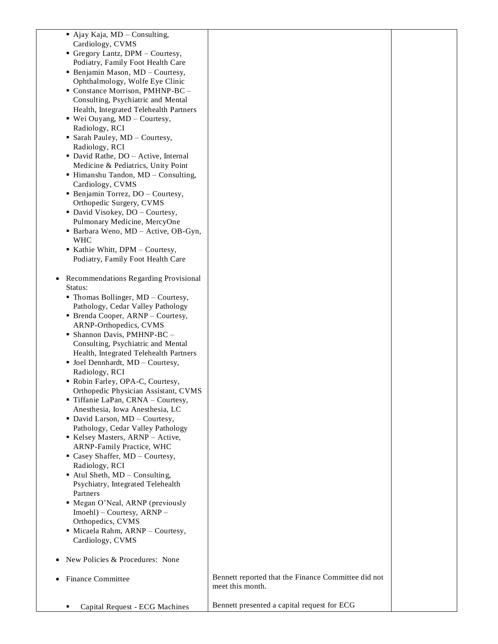| $\blacksquare$ Ajay Kaja, MD – Consulting,<br>Cardiology, CVMS<br>Gregory Lantz, DPM - Courtesy,<br>Podiatry, Family Foot Health Care<br>• Benjamin Mason, MD - Courtesy,<br>Ophthalmology, Wolfe Eye Clinic<br>Constance Morrison, PMHNP-BC -<br>Consulting, Psychiatric and Mental<br>Health, Integrated Telehealth Partners<br>■ Wei Ouyang, MD - Courtesy,<br>Radiology, RCI<br>Sarah Pauley, MD - Courtesy,<br>Radiology, RCI<br>• David Rathe, DO - Active, Internal<br>Medicine & Pediatrics, Unity Point<br>· Himanshu Tandon, MD - Consulting,<br>Cardiology, CVMS<br>• Benjamin Torrez, DO - Courtesy,<br>Orthopedic Surgery, CVMS<br>• David Visokey, DO - Courtesy,<br>Pulmonary Medicine, MercyOne<br>Barbara Weno, MD - Active, OB-Gyn,<br><b>WHC</b><br>Kathie Whitt, DPM - Courtesy, |                                                                         |  |
|------------------------------------------------------------------------------------------------------------------------------------------------------------------------------------------------------------------------------------------------------------------------------------------------------------------------------------------------------------------------------------------------------------------------------------------------------------------------------------------------------------------------------------------------------------------------------------------------------------------------------------------------------------------------------------------------------------------------------------------------------------------------------------------------------|-------------------------------------------------------------------------|--|
| Podiatry, Family Foot Health Care<br>Recommendations Regarding Provisional                                                                                                                                                                                                                                                                                                                                                                                                                                                                                                                                                                                                                                                                                                                           |                                                                         |  |
| Status:<br>$\blacksquare$ Thomas Bollinger, MD – Courtesy,                                                                                                                                                                                                                                                                                                                                                                                                                                                                                                                                                                                                                                                                                                                                           |                                                                         |  |
| Pathology, Cedar Valley Pathology                                                                                                                                                                                                                                                                                                                                                                                                                                                                                                                                                                                                                                                                                                                                                                    |                                                                         |  |
| • Brenda Cooper, ARNP - Courtesy,                                                                                                                                                                                                                                                                                                                                                                                                                                                                                                                                                                                                                                                                                                                                                                    |                                                                         |  |
| ARNP-Orthopedics, CVMS                                                                                                                                                                                                                                                                                                                                                                                                                                                                                                                                                                                                                                                                                                                                                                               |                                                                         |  |
| • Shannon Davis, PMHNP-BC -<br>Consulting, Psychiatric and Mental                                                                                                                                                                                                                                                                                                                                                                                                                                                                                                                                                                                                                                                                                                                                    |                                                                         |  |
| Health, Integrated Telehealth Partners                                                                                                                                                                                                                                                                                                                                                                                                                                                                                                                                                                                                                                                                                                                                                               |                                                                         |  |
| • Joel Dennhardt, MD - Courtesy,                                                                                                                                                                                                                                                                                                                                                                                                                                                                                                                                                                                                                                                                                                                                                                     |                                                                         |  |
| Radiology, RCI                                                                                                                                                                                                                                                                                                                                                                                                                                                                                                                                                                                                                                                                                                                                                                                       |                                                                         |  |
| Robin Farley, OPA-C, Courtesy,                                                                                                                                                                                                                                                                                                                                                                                                                                                                                                                                                                                                                                                                                                                                                                       |                                                                         |  |
| Orthopedic Physician Assistant, CVMS<br>Tiffanie LaPan, CRNA - Courtesy,                                                                                                                                                                                                                                                                                                                                                                                                                                                                                                                                                                                                                                                                                                                             |                                                                         |  |
| Anesthesia, Iowa Anesthesia, LC                                                                                                                                                                                                                                                                                                                                                                                                                                                                                                                                                                                                                                                                                                                                                                      |                                                                         |  |
| David Larson, MD - Courtesy,                                                                                                                                                                                                                                                                                                                                                                                                                                                                                                                                                                                                                                                                                                                                                                         |                                                                         |  |
| Pathology, Cedar Valley Pathology<br>Kelsey Masters, ARNP - Active,                                                                                                                                                                                                                                                                                                                                                                                                                                                                                                                                                                                                                                                                                                                                  |                                                                         |  |
| ARNP-Family Practice, WHC                                                                                                                                                                                                                                                                                                                                                                                                                                                                                                                                                                                                                                                                                                                                                                            |                                                                         |  |
| Casey Shaffer, MD - Courtesy,                                                                                                                                                                                                                                                                                                                                                                                                                                                                                                                                                                                                                                                                                                                                                                        |                                                                         |  |
| Radiology, RCI                                                                                                                                                                                                                                                                                                                                                                                                                                                                                                                                                                                                                                                                                                                                                                                       |                                                                         |  |
| Atul Sheth, MD - Consulting,<br>Psychiatry, Integrated Telehealth                                                                                                                                                                                                                                                                                                                                                                                                                                                                                                                                                                                                                                                                                                                                    |                                                                         |  |
| Partners                                                                                                                                                                                                                                                                                                                                                                                                                                                                                                                                                                                                                                                                                                                                                                                             |                                                                         |  |
| · Megan O'Neal, ARNP (previously                                                                                                                                                                                                                                                                                                                                                                                                                                                                                                                                                                                                                                                                                                                                                                     |                                                                         |  |
| Imoehl) – Courtesy, ARNP –                                                                                                                                                                                                                                                                                                                                                                                                                                                                                                                                                                                                                                                                                                                                                                           |                                                                         |  |
| Orthopedics, CVMS<br>Micaela Rahm, ARNP - Courtesy,                                                                                                                                                                                                                                                                                                                                                                                                                                                                                                                                                                                                                                                                                                                                                  |                                                                         |  |
| Cardiology, CVMS                                                                                                                                                                                                                                                                                                                                                                                                                                                                                                                                                                                                                                                                                                                                                                                     |                                                                         |  |
|                                                                                                                                                                                                                                                                                                                                                                                                                                                                                                                                                                                                                                                                                                                                                                                                      |                                                                         |  |
| New Policies & Procedures: None                                                                                                                                                                                                                                                                                                                                                                                                                                                                                                                                                                                                                                                                                                                                                                      |                                                                         |  |
| <b>Finance Committee</b>                                                                                                                                                                                                                                                                                                                                                                                                                                                                                                                                                                                                                                                                                                                                                                             | Bennett reported that the Finance Committee did not<br>meet this month. |  |
| Capital Request - ECG Machines<br>٠                                                                                                                                                                                                                                                                                                                                                                                                                                                                                                                                                                                                                                                                                                                                                                  | Bennett presented a capital request for ECG                             |  |